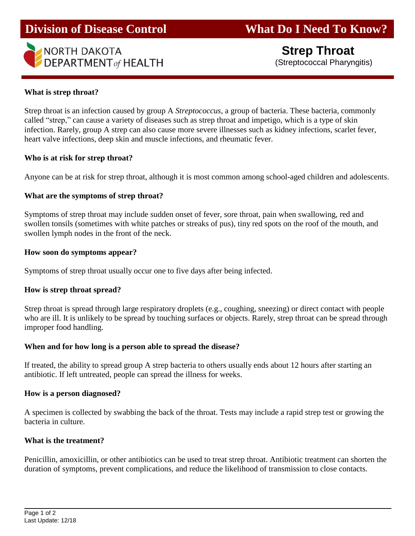

## **What is strep throat?**

Strep throat is an infection caused by group A *Streptococcus*, a group of bacteria. These bacteria, commonly called "strep," can cause a variety of diseases such as strep throat and impetigo, which is a type of skin infection. Rarely, group A strep can also cause more severe illnesses such as kidney infections, scarlet fever, heart valve infections, deep skin and muscle infections, and rheumatic fever.

## **Who is at risk for strep throat?**

Anyone can be at risk for strep throat, although it is most common among school-aged children and adolescents.

## **What are the symptoms of strep throat?**

Symptoms of strep throat may include sudden onset of fever, sore throat, pain when swallowing, red and swollen tonsils (sometimes with white patches or streaks of pus), tiny red spots on the roof of the mouth, and swollen lymph nodes in the front of the neck.

#### **How soon do symptoms appear?**

Symptoms of strep throat usually occur one to five days after being infected.

## **How is strep throat spread?**

Strep throat is spread through large respiratory droplets (e.g., coughing, sneezing) or direct contact with people who are ill. It is unlikely to be spread by touching surfaces or objects. Rarely, strep throat can be spread through improper food handling.

## **When and for how long is a person able to spread the disease?**

If treated, the ability to spread group A strep bacteria to others usually ends about 12 hours after starting an antibiotic. If left untreated, people can spread the illness for weeks.

#### **How is a person diagnosed?**

A specimen is collected by swabbing the back of the throat. Tests may include a rapid strep test or growing the bacteria in culture.

## **What is the treatment?**

Penicillin, amoxicillin, or other antibiotics can be used to treat strep throat. Antibiotic treatment can shorten the duration of symptoms, prevent complications, and reduce the likelihood of transmission to close contacts.